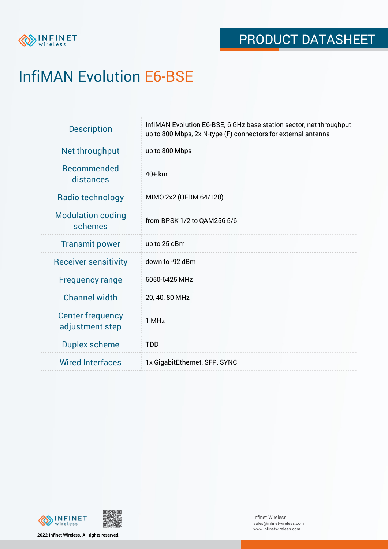

# InfiMAN Evolution E6-BSE

| <b>Description</b>                         | InfiMAN Evolution E6-BSE, 6 GHz base station sector, net throughput<br>up to 800 Mbps, 2x N-type (F) connectors for external antenna |
|--------------------------------------------|--------------------------------------------------------------------------------------------------------------------------------------|
| Net throughput                             | up to 800 Mbps                                                                                                                       |
| <b>Recommended</b><br>distances            | $40+km$                                                                                                                              |
| Radio technology                           | MIMO 2x2 (OFDM 64/128)                                                                                                               |
| <b>Modulation coding</b><br>schemes        | from BPSK 1/2 to QAM256 5/6                                                                                                          |
| <b>Transmit power</b>                      | up to 25 dBm                                                                                                                         |
| <b>Receiver sensitivity</b>                | down to -92 dBm                                                                                                                      |
| <b>Frequency range</b>                     | 6050-6425 MHz                                                                                                                        |
| <b>Channel width</b>                       | 20, 40, 80 MHz                                                                                                                       |
| <b>Center frequency</b><br>adjustment step | 1 MHz                                                                                                                                |
| <b>Duplex scheme</b>                       | <b>TDD</b>                                                                                                                           |
| <b>Wired Interfaces</b>                    | 1x GigabitEthernet, SFP, SYNC                                                                                                        |



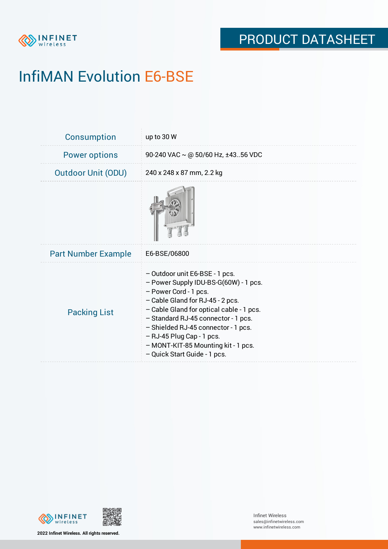

# InfiMAN Evolution E6-BSE

| <b>Consumption</b>         | up to 30 W                                                                                                                                                                                                                                                                                                                                                         |
|----------------------------|--------------------------------------------------------------------------------------------------------------------------------------------------------------------------------------------------------------------------------------------------------------------------------------------------------------------------------------------------------------------|
| <b>Power options</b>       | 90-240 VAC $\sim$ @ 50/60 Hz, ±4356 VDC                                                                                                                                                                                                                                                                                                                            |
| <b>Outdoor Unit (ODU)</b>  | 240 x 248 x 87 mm, 2.2 kg                                                                                                                                                                                                                                                                                                                                          |
|                            |                                                                                                                                                                                                                                                                                                                                                                    |
| <b>Part Number Example</b> | E6-BSE/06800                                                                                                                                                                                                                                                                                                                                                       |
| <b>Packing List</b>        | - Outdoor unit E6-BSE - 1 pcs.<br>- Power Supply IDU-BS-G(60W) - 1 pcs.<br>- Power Cord - 1 pcs.<br>- Cable Gland for RJ-45 - 2 pcs.<br>- Cable Gland for optical cable - 1 pcs.<br>- Standard RJ-45 connector - 1 pcs.<br>- Shielded RJ-45 connector - 1 pcs.<br>- RJ-45 Plug Cap - 1 pcs.<br>- MONT-KIT-85 Mounting kit - 1 pcs.<br>- Quick Start Guide - 1 pcs. |



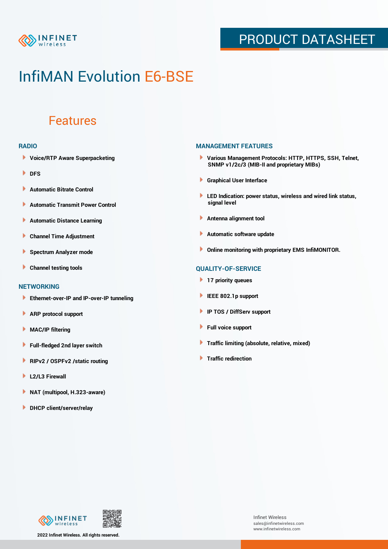

## PRODUCT DATASHEET

## InfiMAN Evolution E6-BSE

### Features

#### **RADIO**

- **Voice/RTP Aware Superpacketing**
- **DFS**
- **Automatic Bitrate Control** Þ
- Þ **Automatic Transmit Power Control**
- Þ **Automatic Distance Learning**
- Þ **Channel Time Adjustment**
- Þ **Spectrum Analyzer mode**
- Þ **Channel testing tools**

### **NETWORKING**

- **Ethernet-over-IP and IP-over-IP tunneling**
- Þ **ARP protocol support**
- **MAC/IP filtering** Þ
- **Full-fledged 2nd layer switch**
- Þ **RIPv2 / OSPFv2 /static routing**
- ٠ **L2/L3 Firewall**
- × **NAT (multipool, H.323-aware)**
- **DHCP client/server/relay**

### **MANAGEMENT FEATURES**

- **Various Management Protocols: HTTP, HTTPS, SSH, Telnet, SNMP v1/2c/3 (MIB-II and proprietary MIBs)**
- **Graphical User Interface**
- **LED Indication: power status, wireless and wired link status, signal level**
- **Antenna alignment tool**
- ٠ **Automatic software update**
- **Online monitoring with proprietary EMS InfiMONITOR.**

### **QUALITY-OF-SERVICE**

- **17 priority queues**
- **IEEE 802.1p support**
- **IP TOS / DiffServ support**
- ٠ **Full voice support**
- **Traffic limiting (absolute, relative, mixed)** ٠
- **Traffic redirection**